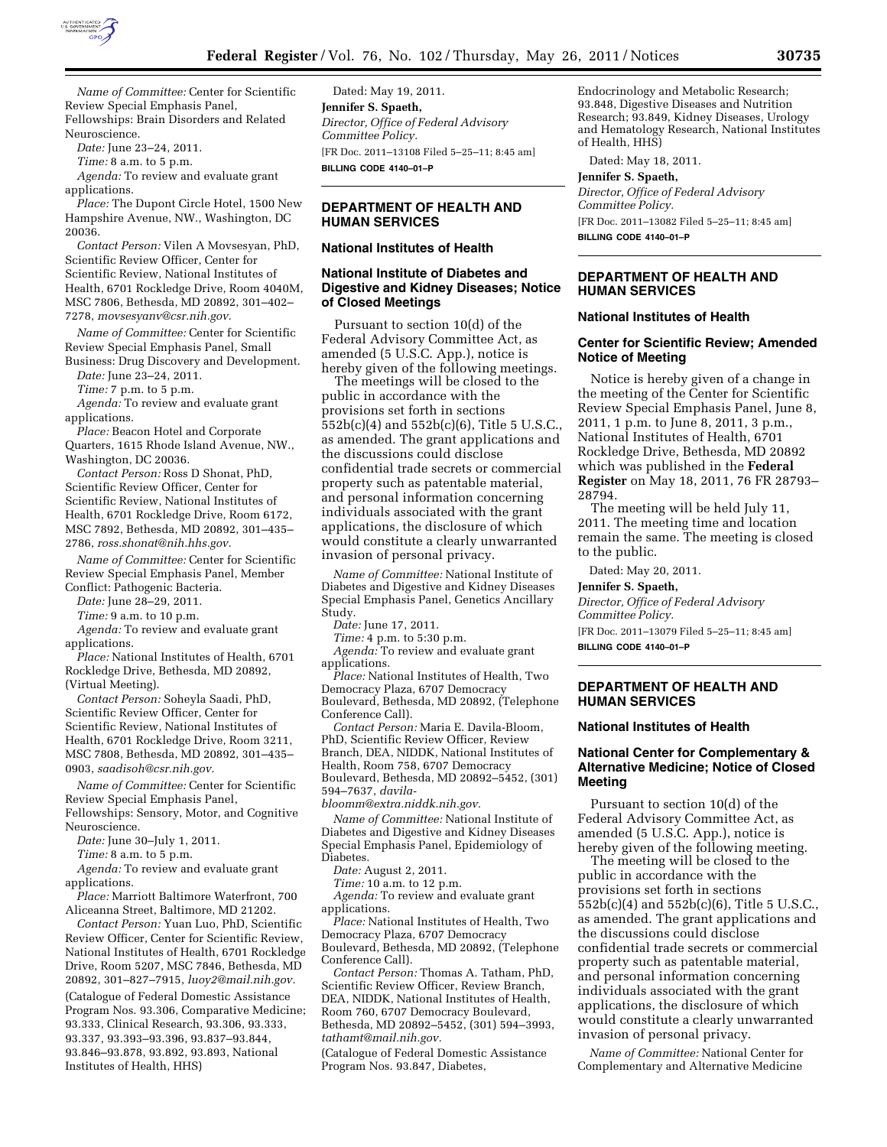

*Name of Committee:* Center for Scientific Review Special Emphasis Panel, Fellowships: Brain Disorders and Related Neuroscience.

*Date:* June 23–24, 2011.

*Time:* 8 a.m. to 5 p.m.

*Agenda:* To review and evaluate grant applications.

*Place:* The Dupont Circle Hotel, 1500 New Hampshire Avenue, NW., Washington, DC 20036.

*Contact Person:* Vilen A Movsesyan, PhD, Scientific Review Officer, Center for Scientific Review, National Institutes of Health, 6701 Rockledge Drive, Room 4040M, MSC 7806, Bethesda, MD 20892, 301–402– 7278, *[movsesyanv@csr.nih.gov.](mailto:movsesyanv@csr.nih.gov)* 

*Name of Committee:* Center for Scientific Review Special Emphasis Panel, Small Business: Drug Discovery and Development.

*Date:* June 23–24, 2011. *Time:* 7 p.m. to 5 p.m.

*Agenda:* To review and evaluate grant applications.

*Place:* Beacon Hotel and Corporate Quarters, 1615 Rhode Island Avenue, NW., Washington, DC 20036.

*Contact Person:* Ross D Shonat, PhD, Scientific Review Officer, Center for Scientific Review, National Institutes of Health, 6701 Rockledge Drive, Room 6172, MSC 7892, Bethesda, MD 20892, 301–435– 2786, *[ross.shonat@nih.hhs.gov.](mailto:ross.shonat@nih.hhs.gov)* 

*Name of Committee:* Center for Scientific Review Special Emphasis Panel, Member Conflict: Pathogenic Bacteria.

*Date:* June 28–29, 2011.

*Time:* 9 a.m. to 10 p.m.

*Agenda:* To review and evaluate grant applications.

*Place:* National Institutes of Health, 6701 Rockledge Drive, Bethesda, MD 20892, (Virtual Meeting).

*Contact Person:* Soheyla Saadi, PhD, Scientific Review Officer, Center for Scientific Review, National Institutes of Health, 6701 Rockledge Drive, Room 3211, MSC 7808, Bethesda, MD 20892, 301–435– 0903, *[saadisoh@csr.nih.gov.](mailto:saadisoh@csr.nih.gov)* 

*Name of Committee:* Center for Scientific Review Special Emphasis Panel, Fellowships: Sensory, Motor, and Cognitive Neuroscience.

*Date:* June 30–July 1, 2011.

*Time:* 8 a.m. to 5 p.m.

*Agenda:* To review and evaluate grant

applications.

*Place:* Marriott Baltimore Waterfront, 700 Aliceanna Street, Baltimore, MD 21202.

*Contact Person:* Yuan Luo, PhD, Scientific Review Officer, Center for Scientific Review, National Institutes of Health, 6701 Rockledge Drive, Room 5207, MSC 7846, Bethesda, MD 20892, 301–827–7915, *[luoy2@mail.nih.gov.](mailto:luoy2@mail.nih.gov)*  (Catalogue of Federal Domestic Assistance Program Nos. 93.306, Comparative Medicine; 93.333, Clinical Research, 93.306, 93.333, 93.337, 93.393–93.396, 93.837–93.844, 93.846–93.878, 93.892, 93.893, National Institutes of Health, HHS)

Dated: May 19, 2011. **Jennifer S. Spaeth,**  *Director, Office of Federal Advisory Committee Policy.*  [FR Doc. 2011–13108 Filed 5–25–11; 8:45 am] **BILLING CODE 4140–01–P** 

# **DEPARTMENT OF HEALTH AND HUMAN SERVICES**

#### **National Institutes of Health**

## **National Institute of Diabetes and Digestive and Kidney Diseases; Notice of Closed Meetings**

Pursuant to section 10(d) of the Federal Advisory Committee Act, as amended (5 U.S.C. App.), notice is hereby given of the following meetings.

The meetings will be closed to the public in accordance with the provisions set forth in sections 552b(c)(4) and 552b(c)(6), Title 5 U.S.C., as amended. The grant applications and the discussions could disclose confidential trade secrets or commercial property such as patentable material, and personal information concerning individuals associated with the grant applications, the disclosure of which would constitute a clearly unwarranted invasion of personal privacy.

*Name of Committee:* National Institute of Diabetes and Digestive and Kidney Diseases Special Emphasis Panel, Genetics Ancillary Study.

*Date:* June 17, 2011.

*Time:* 4 p.m. to 5:30 p.m.

*Agenda:* To review and evaluate grant applications.

*Place:* National Institutes of Health, Two Democracy Plaza, 6707 Democracy Boulevard, Bethesda, MD 20892, (Telephone

Conference Call). *Contact Person:* Maria E. Davila-Bloom,

PhD, Scientific Review Officer, Review Branch, DEA, NIDDK, National Institutes of Health, Room 758, 6707 Democracy Boulevard, Bethesda, MD 20892–5452, (301) 594–7637, *[davila-](mailto:davila-bloomm@extra.niddk.nih.gov)*

*[bloomm@extra.niddk.nih.gov.](mailto:davila-bloomm@extra.niddk.nih.gov)* 

*Name of Committee:* National Institute of Diabetes and Digestive and Kidney Diseases Special Emphasis Panel, Epidemiology of Diabetes.

*Date:* August 2, 2011.

*Time:* 10 a.m. to 12 p.m.

*Agenda:* To review and evaluate grant applications.

*Place:* National Institutes of Health, Two Democracy Plaza, 6707 Democracy Boulevard, Bethesda, MD 20892, (Telephone Conference Call).

*Contact Person:* Thomas A. Tatham, PhD, Scientific Review Officer, Review Branch, DEA, NIDDK, National Institutes of Health, Room 760, 6707 Democracy Boulevard, Bethesda, MD 20892–5452, (301) 594–3993, *[tathamt@mail.nih.gov.](mailto:tathamt@mail.nih.gov)* 

(Catalogue of Federal Domestic Assistance Program Nos. 93.847, Diabetes,

Endocrinology and Metabolic Research; 93.848, Digestive Diseases and Nutrition Research; 93.849, Kidney Diseases, Urology and Hematology Research, National Institutes of Health, HHS)

Dated: May 18, 2011.

#### **Jennifer S. Spaeth,**

*Director, Office of Federal Advisory Committee Policy.*  [FR Doc. 2011–13082 Filed 5–25–11; 8:45 am] **BILLING CODE 4140–01–P** 

## **DEPARTMENT OF HEALTH AND HUMAN SERVICES**

### **National Institutes of Health**

#### **Center for Scientific Review; Amended Notice of Meeting**

Notice is hereby given of a change in the meeting of the Center for Scientific Review Special Emphasis Panel, June 8, 2011, 1 p.m. to June 8, 2011, 3 p.m., National Institutes of Health, 6701 Rockledge Drive, Bethesda, MD 20892 which was published in the **Federal Register** on May 18, 2011, 76 FR 28793– 28794.

The meeting will be held July 11, 2011. The meeting time and location remain the same. The meeting is closed to the public.

Dated: May 20, 2011.

**Jennifer S. Spaeth,**  *Director, Office of Federal Advisory Committee Policy.*  [FR Doc. 2011–13079 Filed 5–25–11; 8:45 am] **BILLING CODE 4140–01–P** 

## **DEPARTMENT OF HEALTH AND HUMAN SERVICES**

#### **National Institutes of Health**

# **National Center for Complementary & Alternative Medicine; Notice of Closed Meeting**

Pursuant to section 10(d) of the Federal Advisory Committee Act, as amended (5 U.S.C. App.), notice is hereby given of the following meeting.

The meeting will be closed to the public in accordance with the provisions set forth in sections 552b(c)(4) and 552b(c)(6), Title 5 U.S.C., as amended. The grant applications and the discussions could disclose confidential trade secrets or commercial property such as patentable material, and personal information concerning individuals associated with the grant applications, the disclosure of which would constitute a clearly unwarranted invasion of personal privacy.

*Name of Committee:* National Center for Complementary and Alternative Medicine